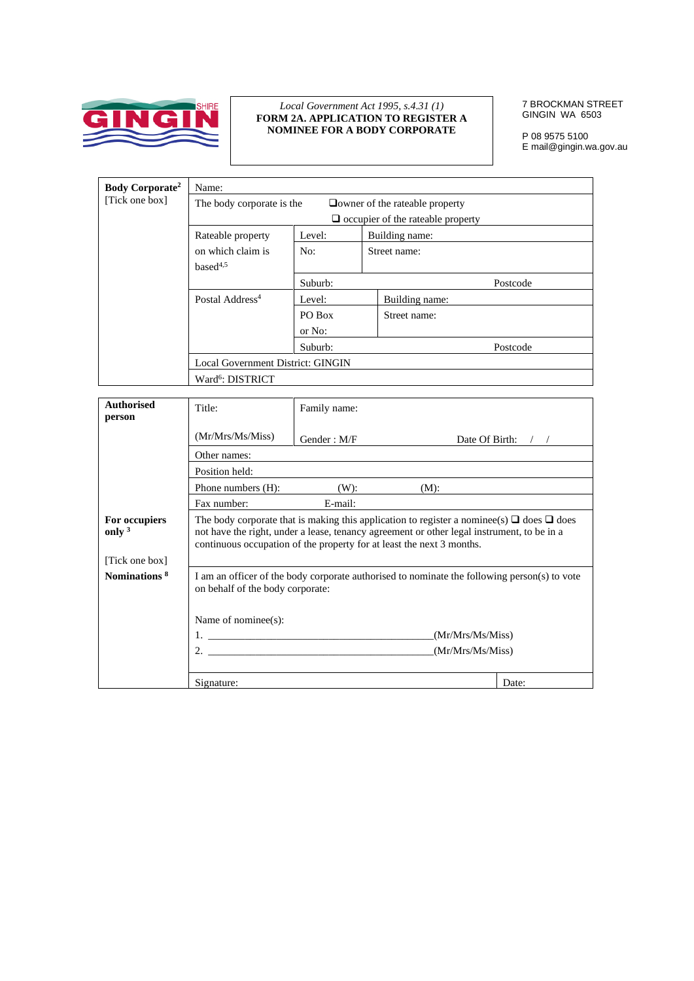

## *Local Government Act 1995, s.4.31 (1)*  **FORM 2A. APPLICATION TO REGISTER A NOMINEE FOR A BODY CORPORATE**

7 BROCKMAN STREET GINGIN WA 6503

P 08 9575 5100 E mail@gingin.wa.gov.au

| Name:                        |         |                                                                |                                                                                   |
|------------------------------|---------|----------------------------------------------------------------|-----------------------------------------------------------------------------------|
|                              |         |                                                                |                                                                                   |
|                              |         |                                                                |                                                                                   |
| Rateable property            | Level:  | Building name:                                                 |                                                                                   |
| on which claim is            | No:     | Street name:                                                   |                                                                                   |
| base $d^{4,5}$               |         |                                                                |                                                                                   |
|                              | Suburb: |                                                                | Postcode                                                                          |
| Postal Address <sup>4</sup>  | Level:  | Building name:                                                 |                                                                                   |
|                              | PO Box  | Street name:                                                   |                                                                                   |
|                              | or No:  |                                                                |                                                                                   |
|                              | Suburb: |                                                                | Postcode                                                                          |
|                              |         |                                                                |                                                                                   |
| Ward <sup>6</sup> : DISTRICT |         |                                                                |                                                                                   |
|                              |         | The body corporate is the<br>Local Government District: GINGIN | $\Box$ owner of the rateable property<br>$\Box$ occupier of the rateable property |

| <b>Authorised</b><br>person                | Title:                                                                | Family name: |                                                                                                                                                                                                   |       |
|--------------------------------------------|-----------------------------------------------------------------------|--------------|---------------------------------------------------------------------------------------------------------------------------------------------------------------------------------------------------|-------|
|                                            | (Mr/Mrs/Ms/Miss)                                                      | Gender: M/F  | Date Of Birth:                                                                                                                                                                                    |       |
|                                            | Other names:                                                          |              |                                                                                                                                                                                                   |       |
|                                            | Position held:                                                        |              |                                                                                                                                                                                                   |       |
|                                            | Phone numbers (H):                                                    | $(W)$ :      | (M):                                                                                                                                                                                              |       |
|                                            | Fax number:                                                           | E-mail:      |                                                                                                                                                                                                   |       |
| For occupiers<br>only $3$                  | continuous occupation of the property for at least the next 3 months. |              | The body corporate that is making this application to register a nominee(s) $\Box$ does $\Box$ does<br>not have the right, under a lease, tenancy agreement or other legal instrument, to be in a |       |
| [Tick one box]<br>Nominations <sup>8</sup> | on behalf of the body corporate:<br>Name of nominee $(s)$ :<br>2.     |              | I am an officer of the body corporate authorised to nominate the following person(s) to vote<br>(Mr/Mrs/Ms/Miss)<br>(Mr/Mrs/Ms/Miss)                                                              |       |
|                                            | Signature:                                                            |              |                                                                                                                                                                                                   | Date: |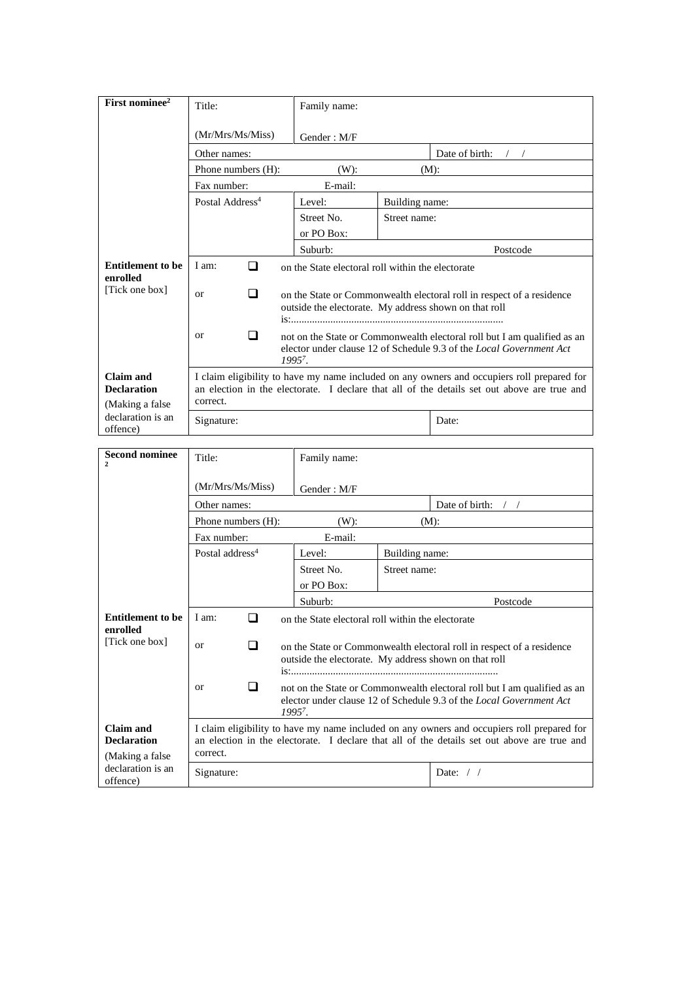| First nominee <sup>2</sup>                          | Title:                      | Family name: |                                                                                                                                                                                           |
|-----------------------------------------------------|-----------------------------|--------------|-------------------------------------------------------------------------------------------------------------------------------------------------------------------------------------------|
|                                                     | (Mr/Mrs/Ms/Miss)            | Gender: M/F  |                                                                                                                                                                                           |
|                                                     | Other names:                |              | Date of birth:                                                                                                                                                                            |
|                                                     | Phone numbers (H):          | $(W)$ :      | $(M)$ :                                                                                                                                                                                   |
|                                                     | Fax number:                 | E-mail:      |                                                                                                                                                                                           |
|                                                     | Postal Address <sup>4</sup> | Level:       | Building name:                                                                                                                                                                            |
|                                                     |                             | Street No.   | Street name:                                                                                                                                                                              |
|                                                     |                             | or PO Box:   |                                                                                                                                                                                           |
|                                                     |                             | Suburb:      | Postcode                                                                                                                                                                                  |
| <b>Entitlement to be</b>                            | I am:<br>□                  |              | on the State electoral roll within the electorate                                                                                                                                         |
| enrolled<br>[Tick one box]                          | ❏<br>$\alpha$               |              | on the State or Commonwealth electoral roll in respect of a residence<br>outside the electorate. My address shown on that roll                                                            |
|                                                     | $\alpha$                    | $1995^7$ .   | not on the State or Commonwealth electoral roll but I am qualified as an<br>elector under clause 12 of Schedule 9.3 of the <i>Local Government Act</i>                                    |
| Claim and<br><b>Declaration</b><br>(Making a false) | correct.                    |              | I claim eligibility to have my name included on any owners and occupiers roll prepared for<br>an election in the electorate. I declare that all of the details set out above are true and |
| declaration is an<br>offence)                       | Signature:                  |              | Date:                                                                                                                                                                                     |

| <b>Second nominee</b><br>$\overline{2}$          | Title:                      | Family name:                                          |                |                                                                                                                                                                                           |
|--------------------------------------------------|-----------------------------|-------------------------------------------------------|----------------|-------------------------------------------------------------------------------------------------------------------------------------------------------------------------------------------|
|                                                  | (Mr/Mrs/Ms/Miss)            | Gender: M/F                                           |                |                                                                                                                                                                                           |
|                                                  | Other names:                |                                                       |                | Date of birth:                                                                                                                                                                            |
|                                                  | Phone numbers (H):          | $(W)$ :                                               |                | $(M)$ :                                                                                                                                                                                   |
|                                                  | Fax number:                 | E-mail:                                               |                |                                                                                                                                                                                           |
|                                                  | Postal address <sup>4</sup> | Level:                                                | Building name: |                                                                                                                                                                                           |
|                                                  |                             | Street No.                                            | Street name:   |                                                                                                                                                                                           |
|                                                  |                             | or PO Box:                                            |                |                                                                                                                                                                                           |
|                                                  |                             | Suburb:                                               |                | Postcode                                                                                                                                                                                  |
| <b>Entitlement to be</b>                         | I am:<br>П                  | on the State electoral roll within the electorate     |                |                                                                                                                                                                                           |
| enrolled<br>[Tick one box]                       | ⊓<br>$\alpha$               | outside the electorate. My address shown on that roll |                | on the State or Commonwealth electoral roll in respect of a residence                                                                                                                     |
|                                                  | <sub>or</sub>               | $1995^7$ .                                            |                | not on the State or Commonwealth electoral roll but I am qualified as an<br>elector under clause 12 of Schedule 9.3 of the <i>Local Government Act</i>                                    |
| Claim and<br><b>Declaration</b>                  | correct.                    |                                                       |                | I claim eligibility to have my name included on any owners and occupiers roll prepared for<br>an election in the electorate. I declare that all of the details set out above are true and |
| (Making a false<br>declaration is an<br>offence) | Signature:                  |                                                       |                | Date: $/$ /                                                                                                                                                                               |